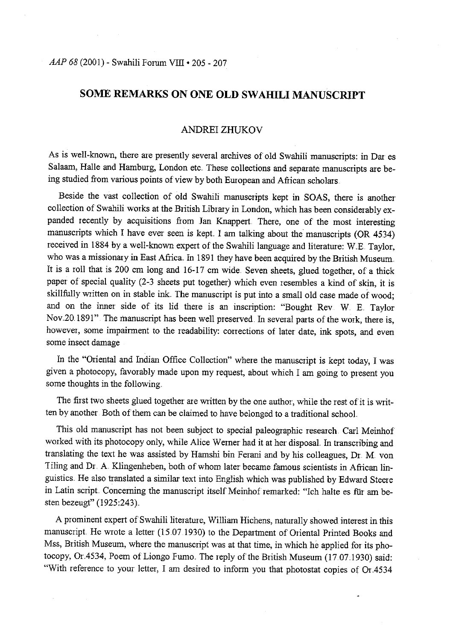## *AAP 68 (2001) - Swahili Forum VIII • 205 - 207*

# **SOME REMARKS ON ONE OLD SW AHILI MANUSCRIPT**

### ANDREI ZHUKOV

As is well-known, there are presently several archives of old Swahili manuscripts: in Dar es Salaam, Halle and Hamburg, London etc. These collections and separate manuscripts are being studied from various points of view by both European and African scholars

Beside the vast collection of old Swahili manuscripts kept in SOAS, there is another collection of Swahili works at the British Library in London, which has been considerably expanded recently by acquisitions from Jan Knappert. There, one of the most interesting manuscripts which I have ever seen is kept. I am talking about the manuscripts (OR 4534) received in 1884 by a well-known expert of the Swahili language and literature: W.E. Taylor, who was a missionary in East Africa. In 1891 they have been acquired by the British Museum. It is a roll that is 200 cm long and 16-17 cm wide. Seven sheets, glued together, of a thick paper of special quality (2-3 sheets put together) which even resembles a kind of skin, it is skillfully written on in stable ink. The manuscript is put into a small old case made of wood; and on the inner side of its lid there is an inscription: "Bought Rev W E. Taylor Nov.20.1891". The manuscript has been well preserved. In several parts of the work, there is, however, some impairment to the readability: corrections of later date, ink spots, and even some insect damage

In the "Oriental and Indian Office Collection" where the manuscript is kept today, I was <sup>g</sup>iven a photocopy, favorably made upon my request, about which I am going to present you some thoughts in the following.

The first two sheets glued together are written by the one author, while the rest of it is written by another. Both of them can be claimed to have belonged to a traditional school.

This old manuscript has not been subject to special paleographic research Car1 Meinhof worked with its photocopy only, while Alice Werner had it at her disposal. In transcribing and translating the text he was assisted by Hamshi bin Ferani and by his colleagues, Dr. M. von Tiling and Dr. A. Klingenheben, both of whom later became famous scientists in African linguistics. He also translated a similar text into English which was published by Edward Steere in Latin script. Concerning the manuscript itself Meinhof remarked: "Ich halte es fiir am besten bezeugt" (1925:243)..

A prominent expert of Swahili literature, William Hichens, naturally showed interest in this manuscript. He wrote a letter (15 .07 1930) to the Department of Oriental Printed Books and Mss, British Museum, where the manuscript was at that time, in which he applied for its photocopy, Or.4534, Poem of Liongo Fumo. The reply of the British Museum (17.07.1930) said: "With reference to your letter, I am desired to inform you that photostat copies of Or.4534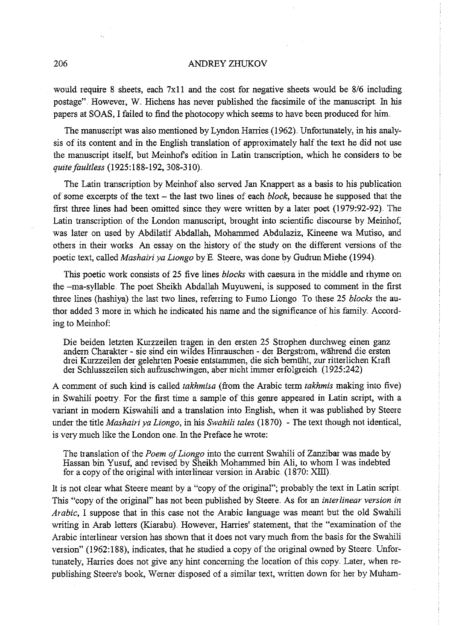#### 206 ANDREY ZHUKOV

would require 8 sheets, each  $7x11$  and the cost for negative sheets would be 8/6 including postage". However, W. Hichens has never published the facsimile of the manuscript. In his papers at SOAS, I failed to find the photocopy which seems to have been produced for him.

The manuscript was also mentioned by Lyndon Harries (1962).. Unfortunately, in his analysis of its content and in the English translation of approximately half the text he did not use the manuscript itself; but Meinhofs edition in Latin transcription, which he considers to be *quite faultless* (1925:188-192, 308-310).

The Latin transcription by Meinhof also served Jan Knappert as a basis to his publication of some excerpts of the text - the last two lines of each *block,* because he supposed that the first three lines had been omitted since they were written by a later poet (1979:92-92). The Latin transcription of the London manuscript, brought into scientific discourse by Meinhof; was later on used by Abdilatif Abdallah, Mohanrmed Abdulaziz, Kineene wa Mutiso, and others in their works An essay on the history of the study on the different versions of the poetic text, called *Mashairi ya Liongo* by E. Steere, was done by Gudrun Miehe (1994).

This poetic work consists of 25 five lines *blocks* with caesura in the middle and rhyme on the  $-ma$ -syllable. The poet Sheikh Abdallah Muyuweni, is supposed to comment in the first three lines (hashiya) the last two lines, refeiiing to Fumo Liongo To these 25 *blocks* the author added 3 more in which he indicated his name and the significance of his family. According to Meinhof:

Die beiden letzten Kurzzeilen tragen in den ersten 25 Strophen durchweg einen ganz andern Charakter - sie sind ein wildes Hinrauschen - der Bergstrom, während die ersten drei Kurzzeilen der gelehrten Poesie entstanrmen, die sich bemiiht, zur ritterlichen Kraft der Schlusszeilen sich aufzuschwingen, aber nicht immer erfolgreich (1925:242)

A comment of such kind is called *takhmiw* (from the Arabic term *takhmis* making into five) in Swahili poetry. For the first time a sample of this genre appeared in Latin script, with a variant in modem Kiswahili and a translation into English, when it was published by Steere under the title *Mashairi ya Liongo,* in his *Swahili tales* (1870). - The text though not identical, is very much like the London one. In the Preface he wrote:

The translation of the *Poem of Liongo* into the current Swahili of Zanzibar was made by Hassan bin Yusuf; and revised by Sheikh Mohanrmed bin Ali, to whom I was indebted for a copy of the original with interlinear version in Arabic (1870: XIII).

It is not clear what Steere meant by a "copy of the original"; probably the text in Latin script. This "copy of the original" has not been published by Steere .. As for an *interlinear version* in *Arabic*, I suppose that in this case not the Arabic language was meant but the old Swahili writing in Arab letters (Kiarabu). However, Harries' statement, that the "examination of the Arabic interlinear version has shown that it does not vary much from the basis for the Swahili version" (1962:188), indicates, that he studied a copy of the original owned by Steere Unfortunately, Harries does not give any hint concerning the location of this copy. Later, when republishing Steere's book, Werner disposed of a similar text, written down for her by Muham-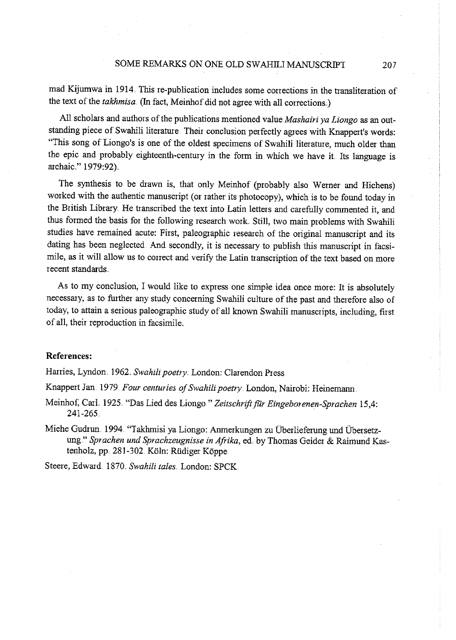#### SOME REMARKS ON ONE OLD SWAHILI MANUSCRIPT 207

mad Kijumwa in 1914. This re-publication includes some corrections in the transliteration of the text of the *takhmisa*. (In fact, Meinhof did not agree with all corrections.)

All scholars and authors of the publications mentioned value *Mashairi ya Liongo* as an outstanding piece of Swahili literature Their conclusion perfectly agrees with Knappert's words: "This song of Liongo's is one of the oldest specimens of Swahili literature, much older than the epic and probably eighteenth-century in the form in which we have it Its language is archaic " 1979:92).

The synthesis to be drawn is, that only Meinhof (probably also Werner and Hichens) worked with the authentic manuscript (or rather its photocopy), which is to be found today in the British Library. He transcribed the text into Latin letters and carefully commented it, and thus formed the basis for the following research work. Still, two main problems with Swahili studies have remained acute: First, paleographic research of the original manuscript and its dating has been neglected. And secondly, it is necessary to publish this manuscript in facsimile, as it will allow us to correct and verify the Latin transcription of the text based on more recent standards.

As to my conclusion, I would like to express one simple idea once more: It is absolutely necessaiy, as to further any study concerning Swahili culture of the past and therefore also of today, to attain a serious paleographic study of all known Swahili manuscripts, including, first of all, their reproduction in facsimile ..

#### **References:**

Harries, Lyndon. 1962. *Swahili poetry*. London: Clarendon Press.

Knappert Jan 1979 *Four centuries of Swahili poetry*. London, Nairobi: Heinemann.

- Meinhof, Carl. 1925. "Das Lied des Liongo " Zeitschrift für Eingeborenen-Sprachen 15,4: 241-265
- Miehe Gudrun. 1994. "Takhmisi ya Liongo: Anmerkungen zu Überlieferung und Übersetzung." *Sprachen und Sprachzeugnisse in Afrika,* ed. by Thomas Geider & Raimund Kas·· tenholz, pp. 281-302. Köln: Rüdiger Köppe.

Steere, Edward. 1870. Swahili tales. London: SPCK.